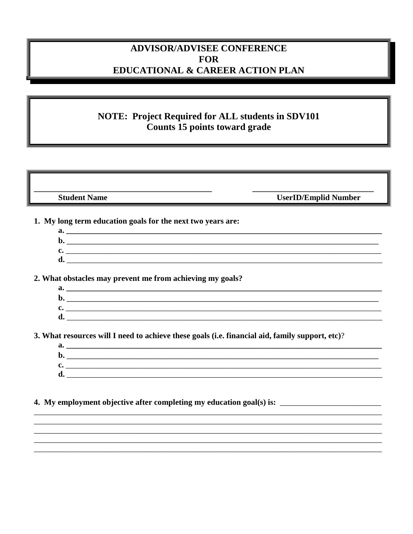## **ADVISOR/ADVISEE CONFERENCE FOR EDUCATIONAL & CAREER ACTION PLAN**

## **NOTE: Project Required for ALL students in SDV101** Counts 15 points toward grade

**Student Name** 

**UserID/Emplid Number** 

- 1. My long term education goals for the next two years are:
	-
	- $\mathbf{c}$ .  $\mathbf{d}$ .

2. What obstacles may prevent me from achieving my goals?

| a.      |  |
|---------|--|
| IJ      |  |
| ∩<br>یں |  |
| e.<br>u |  |

3. What resources will I need to achieve these goals (i.e. financial aid, family support, etc)?

| a. |  |
|----|--|
| D  |  |
| ັ  |  |
| ີ  |  |